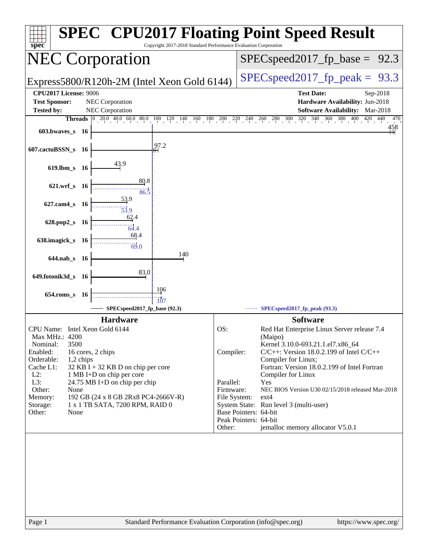| spec                                        |           | <b>SPEC<sup>®</sup> CPU2017 Floating Point Speed Result</b><br>Copyright 2017-2018 Standard Performance Evaluation Corporation |              |                                     |                                                                      |
|---------------------------------------------|-----------|--------------------------------------------------------------------------------------------------------------------------------|--------------|-------------------------------------|----------------------------------------------------------------------|
| <b>NEC Corporation</b>                      |           |                                                                                                                                |              |                                     | $SPEC speed2017_fp\_base = 92.3$                                     |
| Express5800/R120h-2M (Intel Xeon Gold 6144) |           |                                                                                                                                |              | $SPEC speed2017_fp\_peak =$<br>93.3 |                                                                      |
| CPU2017 License: 9006                       |           |                                                                                                                                |              |                                     | <b>Test Date:</b><br>Sep-2018                                        |
| <b>Test Sponsor:</b>                        |           | NEC Corporation                                                                                                                |              |                                     | Hardware Availability: Jun-2018                                      |
| <b>Tested by:</b>                           |           | NEC Corporation                                                                                                                |              |                                     | Software Availability: Mar-2018                                      |
|                                             |           | <b>Threads</b> 0 20.0 40.0 60.0 80.0 100 120 140 160 180 200 220 240 260 280 300 320 340 360 380                               |              |                                     | 400<br>420 440<br>470                                                |
| $603.bwaves$ 16                             |           |                                                                                                                                |              |                                     | 458                                                                  |
| 607.cactuBSSN_s 16                          |           | 97.2                                                                                                                           |              |                                     |                                                                      |
| $619$ .lbm_s                                | - 16      | 43.9                                                                                                                           |              |                                     |                                                                      |
| $621.wrf$ <sub>S</sub>                      | - 16      | 80.8<br>86.5                                                                                                                   |              |                                     |                                                                      |
| 627.cam4_s 16                               |           | 53.9<br>$\frac{1}{53.9}$                                                                                                       |              |                                     |                                                                      |
| 628.pop2_s                                  | - 16      | 62.4<br>64.4                                                                                                                   |              |                                     |                                                                      |
| 638.imagick_s 16                            |           | 68.4<br>69.0                                                                                                                   |              |                                     |                                                                      |
| 644.nab_s 16                                |           | 140                                                                                                                            |              |                                     |                                                                      |
| 649.fotonik3d_s                             | - 16      | 83.0                                                                                                                           |              |                                     |                                                                      |
| $654$ .roms_s                               | - 16      | 106<br>107                                                                                                                     |              |                                     |                                                                      |
|                                             |           | SPECspeed2017_fp_base (92.3)                                                                                                   |              |                                     | SPECspeed2017_fp_peak (93.3)                                         |
|                                             |           | <b>Hardware</b>                                                                                                                |              |                                     | <b>Software</b>                                                      |
| CPU Name: Intel Xeon Gold 6144              |           |                                                                                                                                | OS:          |                                     | Red Hat Enterprise Linux Server release 7.4                          |
| Max MHz.: 4200                              |           |                                                                                                                                |              |                                     | (Maipo)                                                              |
| 3500<br>Nominal:                            |           |                                                                                                                                |              |                                     | Kernel 3.10.0-693.21.1.el7.x86_64                                    |
| Enabled:<br>Orderable:                      | 1,2 chips | 16 cores, 2 chips                                                                                                              | Compiler:    |                                     | $C/C++$ : Version 18.0.2.199 of Intel $C/C++$<br>Compiler for Linux; |
| Cache L1:                                   |           | $32$ KB I + 32 KB D on chip per core                                                                                           |              |                                     | Fortran: Version 18.0.2.199 of Intel Fortran                         |
| $L2$ :                                      |           | 1 MB I+D on chip per core                                                                                                      |              |                                     | Compiler for Linux                                                   |
| L3:                                         |           | 24.75 MB I+D on chip per chip                                                                                                  | Parallel:    |                                     | Yes                                                                  |
| Other:<br>None                              |           |                                                                                                                                | Firmware:    |                                     | NEC BIOS Version U30 02/15/2018 released Mar-2018<br>$ext{4}$        |
| Memory:<br>Storage:                         |           | 192 GB (24 x 8 GB 2Rx8 PC4-2666V-R)<br>1 x 1 TB SATA, 7200 RPM, RAID 0                                                         | File System: |                                     | System State: Run level 3 (multi-user)                               |
| Other:<br>None                              |           |                                                                                                                                |              |                                     | Base Pointers: 64-bit                                                |
|                                             |           |                                                                                                                                |              | Peak Pointers: 64-bit               |                                                                      |
|                                             |           |                                                                                                                                | Other:       |                                     | jemalloc memory allocator V5.0.1                                     |
|                                             |           |                                                                                                                                |              |                                     |                                                                      |
|                                             |           |                                                                                                                                |              |                                     |                                                                      |
|                                             |           |                                                                                                                                |              |                                     |                                                                      |
|                                             |           |                                                                                                                                |              |                                     |                                                                      |
|                                             |           |                                                                                                                                |              |                                     |                                                                      |
|                                             |           |                                                                                                                                |              |                                     |                                                                      |
|                                             |           |                                                                                                                                |              |                                     |                                                                      |
|                                             |           |                                                                                                                                |              |                                     |                                                                      |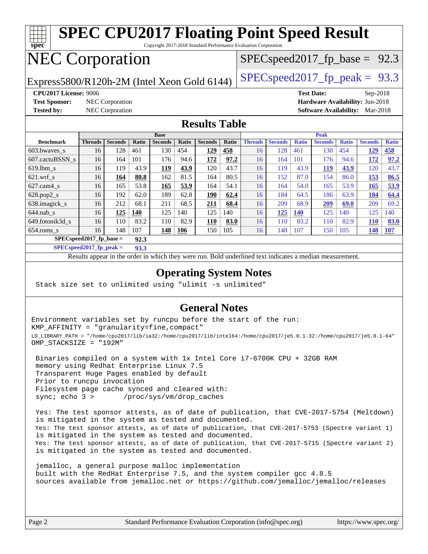

**[SPECspeed2017\\_fp\\_peak =](http://www.spec.org/auto/cpu2017/Docs/result-fields.html#SPECspeed2017fppeak) 93.3**

Results appear in the [order in which they were run.](http://www.spec.org/auto/cpu2017/Docs/result-fields.html#RunOrder) Bold underlined text [indicates a median measurement](http://www.spec.org/auto/cpu2017/Docs/result-fields.html#Median).

### **[Operating System Notes](http://www.spec.org/auto/cpu2017/Docs/result-fields.html#OperatingSystemNotes)**

Stack size set to unlimited using "ulimit -s unlimited"

### **[General Notes](http://www.spec.org/auto/cpu2017/Docs/result-fields.html#GeneralNotes)**

Environment variables set by runcpu before the start of the run: KMP\_AFFINITY = "granularity=fine,compact" LD\_LIBRARY\_PATH = "/home/cpu2017/lib/ia32:/home/cpu2017/lib/intel64:/home/cpu2017/je5.0.1-32:/home/cpu2017/je5.0.1-64" OMP\_STACKSIZE = "192M"

 Binaries compiled on a system with 1x Intel Core i7-6700K CPU + 32GB RAM memory using Redhat Enterprise Linux 7.5 Transparent Huge Pages enabled by default Prior to runcpu invocation Filesystem page cache synced and cleared with: sync; echo 3 > /proc/sys/vm/drop\_caches

 Yes: The test sponsor attests, as of date of publication, that CVE-2017-5754 (Meltdown) is mitigated in the system as tested and documented. Yes: The test sponsor attests, as of date of publication, that CVE-2017-5753 (Spectre variant 1) is mitigated in the system as tested and documented. Yes: The test sponsor attests, as of date of publication, that CVE-2017-5715 (Spectre variant 2) is mitigated in the system as tested and documented.

 jemalloc, a general purpose malloc implementation built with the RedHat Enterprise 7.5, and the system compiler gcc 4.8.5 sources available from jemalloc.net or <https://github.com/jemalloc/jemalloc/releases>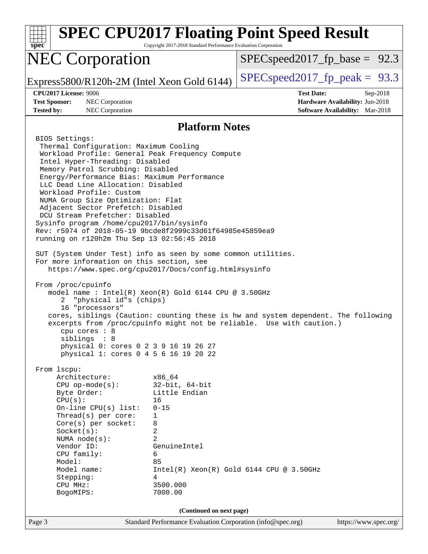| $spec*$                                                                                                                                                                                                                                                                                                                                                                                                                                                                                                                                                                                                                                                                                                                                                                                                                                                                                                                                                                                                                       | Copyright 2017-2018 Standard Performance Evaluation Corporation                                                                                           | <b>SPEC CPU2017 Floating Point Speed Result</b>                                                                                                             |  |  |  |
|-------------------------------------------------------------------------------------------------------------------------------------------------------------------------------------------------------------------------------------------------------------------------------------------------------------------------------------------------------------------------------------------------------------------------------------------------------------------------------------------------------------------------------------------------------------------------------------------------------------------------------------------------------------------------------------------------------------------------------------------------------------------------------------------------------------------------------------------------------------------------------------------------------------------------------------------------------------------------------------------------------------------------------|-----------------------------------------------------------------------------------------------------------------------------------------------------------|-------------------------------------------------------------------------------------------------------------------------------------------------------------|--|--|--|
| <b>NEC Corporation</b>                                                                                                                                                                                                                                                                                                                                                                                                                                                                                                                                                                                                                                                                                                                                                                                                                                                                                                                                                                                                        |                                                                                                                                                           | $SPEC speed2017_f p\_base = 92.3$                                                                                                                           |  |  |  |
| Express5800/R120h-2M (Intel Xeon Gold 6144)                                                                                                                                                                                                                                                                                                                                                                                                                                                                                                                                                                                                                                                                                                                                                                                                                                                                                                                                                                                   |                                                                                                                                                           | $SPEC speed2017fp peak = 93.3$                                                                                                                              |  |  |  |
| <b>CPU2017 License: 9006</b><br><b>Test Sponsor:</b><br>NEC Corporation<br><b>Tested by:</b><br><b>NEC Corporation</b>                                                                                                                                                                                                                                                                                                                                                                                                                                                                                                                                                                                                                                                                                                                                                                                                                                                                                                        |                                                                                                                                                           | <b>Test Date:</b><br>$Sep-2018$<br>Hardware Availability: Jun-2018<br><b>Software Availability:</b> Mar-2018                                                |  |  |  |
| <b>Platform Notes</b>                                                                                                                                                                                                                                                                                                                                                                                                                                                                                                                                                                                                                                                                                                                                                                                                                                                                                                                                                                                                         |                                                                                                                                                           |                                                                                                                                                             |  |  |  |
| BIOS Settings:<br>Thermal Configuration: Maximum Cooling<br>Workload Profile: General Peak Frequency Compute<br>Intel Hyper-Threading: Disabled<br>Memory Patrol Scrubbing: Disabled<br>Energy/Performance Bias: Maximum Performance<br>LLC Dead Line Allocation: Disabled<br>Workload Profile: Custom<br>NUMA Group Size Optimization: Flat<br>Adjacent Sector Prefetch: Disabled<br>DCU Stream Prefetcher: Disabled<br>Sysinfo program /home/cpu2017/bin/sysinfo<br>Rev: r5974 of 2018-05-19 9bcde8f2999c33d61f64985e45859ea9<br>running on r120h2m Thu Sep 13 02:56:45 2018<br>SUT (System Under Test) info as seen by some common utilities.<br>For more information on this section, see<br>https://www.spec.org/cpu2017/Docs/config.html#sysinfo<br>From /proc/cpuinfo<br>model name : Intel(R) Xeon(R) Gold 6144 CPU @ 3.50GHz<br>"physical id"s (chips)<br>2<br>16 "processors"<br>$cpu$ cores : $8$<br>siblings : 8<br>physical 0: cores 0 2 3 9 16 19 26 27<br>physical 1: cores 0 4 5 6 16 19 20 22<br>From 1scpu: |                                                                                                                                                           | cores, siblings (Caution: counting these is hw and system dependent. The following<br>excerpts from /proc/cpuinfo might not be reliable. Use with caution.) |  |  |  |
| Architecture:<br>$CPU$ op-mode( $s$ ):<br>Byte Order:<br>CPU(s):<br>On-line $CPU(s)$ list:<br>Thread(s) per core:<br>Core(s) per socket:<br>Socket(s):<br>NUMA $node(s)$ :<br>Vendor ID:<br>CPU family:<br>Model:<br>Model name:<br>Stepping:<br>CPU MHz:<br>BogoMIPS:                                                                                                                                                                                                                                                                                                                                                                                                                                                                                                                                                                                                                                                                                                                                                        | x86 64<br>$32$ -bit, $64$ -bit<br>Little Endian<br>16<br>$0 - 15$<br>1<br>8<br>2<br>$\overline{2}$<br>GenuineIntel<br>6<br>85<br>4<br>3500.000<br>7000.00 | $Intel(R)$ Xeon $(R)$ Gold 6144 CPU @ 3.50GHz                                                                                                               |  |  |  |
| Page 3                                                                                                                                                                                                                                                                                                                                                                                                                                                                                                                                                                                                                                                                                                                                                                                                                                                                                                                                                                                                                        | (Continued on next page)<br>Standard Performance Evaluation Corporation (info@spec.org)                                                                   | https://www.spec.org/                                                                                                                                       |  |  |  |
|                                                                                                                                                                                                                                                                                                                                                                                                                                                                                                                                                                                                                                                                                                                                                                                                                                                                                                                                                                                                                               |                                                                                                                                                           |                                                                                                                                                             |  |  |  |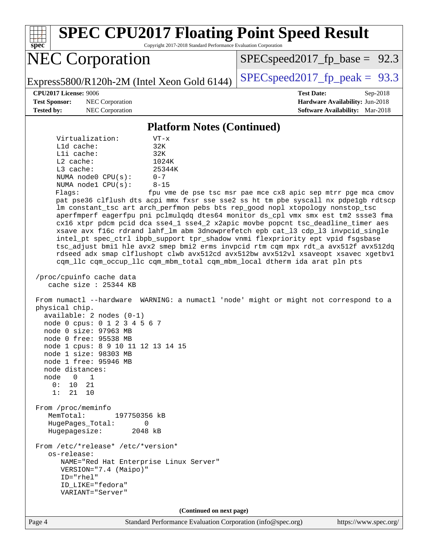**[spec](http://www.spec.org/) [SPEC CPU2017 Floating Point Speed Result](http://www.spec.org/auto/cpu2017/Docs/result-fields.html#SPECCPU2017FloatingPointSpeedResult)** Copyright 2017-2018 Standard Performance Evaluation Corporation NEC Corporation Express5800/R120h-2M (Intel Xeon Gold 6144)  $\left|$  [SPECspeed2017\\_fp\\_peak =](http://www.spec.org/auto/cpu2017/Docs/result-fields.html#SPECspeed2017fppeak) 93.3  $SPECspeed2017_fp\_base = 92.3$ **[CPU2017 License:](http://www.spec.org/auto/cpu2017/Docs/result-fields.html#CPU2017License)** 9006 **[Test Date:](http://www.spec.org/auto/cpu2017/Docs/result-fields.html#TestDate)** Sep-2018 **[Test Sponsor:](http://www.spec.org/auto/cpu2017/Docs/result-fields.html#TestSponsor)** NEC Corporation **[Hardware Availability:](http://www.spec.org/auto/cpu2017/Docs/result-fields.html#HardwareAvailability)** Jun-2018 **[Tested by:](http://www.spec.org/auto/cpu2017/Docs/result-fields.html#Testedby)** NEC Corporation **[Software Availability:](http://www.spec.org/auto/cpu2017/Docs/result-fields.html#SoftwareAvailability)** Mar-2018 **[Platform Notes \(Continued\)](http://www.spec.org/auto/cpu2017/Docs/result-fields.html#PlatformNotes)** Virtualization: VT-x L1d cache: 32K L1i cache: 32K L2 cache: 1024K L3 cache: 25344K NUMA node0 CPU(s): 0-7 NUMA node1 CPU(s): 8-15 Flags: fpu vme de pse tsc msr pae mce cx8 apic sep mtrr pge mca cmov pat pse36 clflush dts acpi mmx fxsr sse sse2 ss ht tm pbe syscall nx pdpe1gb rdtscp lm constant\_tsc art arch\_perfmon pebs bts rep\_good nopl xtopology nonstop\_tsc aperfmperf eagerfpu pni pclmulqdq dtes64 monitor ds\_cpl vmx smx est tm2 ssse3 fma cx16 xtpr pdcm pcid dca sse4\_1 sse4\_2 x2apic movbe popcnt tsc\_deadline\_timer aes xsave avx f16c rdrand lahf\_lm abm 3dnowprefetch epb cat\_l3 cdp\_l3 invpcid\_single intel\_pt spec\_ctrl ibpb\_support tpr\_shadow vnmi flexpriority ept vpid fsgsbase tsc\_adjust bmi1 hle avx2 smep bmi2 erms invpcid rtm cqm mpx rdt\_a avx512f avx512dq rdseed adx smap clflushopt clwb avx512cd avx512bw avx512vl xsaveopt xsavec xgetbv1 cqm\_llc cqm\_occup\_llc cqm\_mbm\_total cqm\_mbm\_local dtherm ida arat pln pts /proc/cpuinfo cache data cache size : 25344 KB From numactl --hardware WARNING: a numactl 'node' might or might not correspond to a physical chip. available: 2 nodes (0-1) node 0 cpus: 0 1 2 3 4 5 6 7 node 0 size: 97963 MB node 0 free: 95538 MB node 1 cpus: 8 9 10 11 12 13 14 15 node 1 size: 98303 MB node 1 free: 95946 MB node distances: node 0 1 0: 10 21 1: 21 10 From /proc/meminfo MemTotal: 197750356 kB HugePages\_Total: 0 Hugepagesize: 2048 kB From /etc/\*release\* /etc/\*version\* os-release: NAME="Red Hat Enterprise Linux Server" VERSION="7.4 (Maipo)" ID="rhel" ID\_LIKE="fedora" VARIANT="Server" **(Continued on next page)**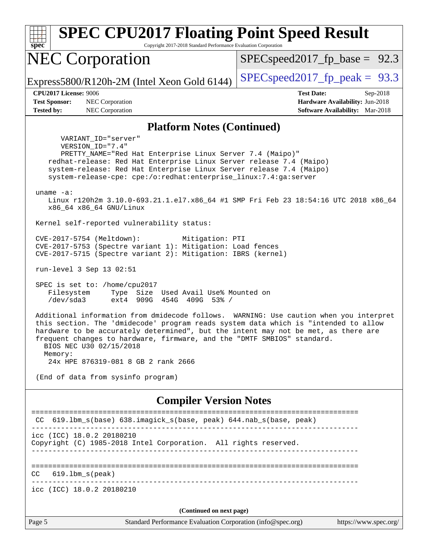| <b>SPEC CPU2017 Floating Point Speed Result</b><br>Copyright 2017-2018 Standard Performance Evaluation Corporation<br>$spec^*$                                                                                                                                                                                                                                                                                                                                                                                                                                                                                                                                                                                                          |                                                                                                            |  |  |  |  |  |
|-----------------------------------------------------------------------------------------------------------------------------------------------------------------------------------------------------------------------------------------------------------------------------------------------------------------------------------------------------------------------------------------------------------------------------------------------------------------------------------------------------------------------------------------------------------------------------------------------------------------------------------------------------------------------------------------------------------------------------------------|------------------------------------------------------------------------------------------------------------|--|--|--|--|--|
| <b>NEC Corporation</b>                                                                                                                                                                                                                                                                                                                                                                                                                                                                                                                                                                                                                                                                                                                  | $SPEC speed2017_f p\_base = 92.3$                                                                          |  |  |  |  |  |
| Express5800/R120h-2M (Intel Xeon Gold 6144)                                                                                                                                                                                                                                                                                                                                                                                                                                                                                                                                                                                                                                                                                             | $SPEC speed2017$ _fp_peak = 93.3                                                                           |  |  |  |  |  |
| <b>CPU2017 License: 9006</b><br><b>Test Sponsor:</b><br>NEC Corporation<br><b>Tested by:</b><br>NEC Corporation                                                                                                                                                                                                                                                                                                                                                                                                                                                                                                                                                                                                                         | <b>Test Date:</b><br>Sep-2018<br>Hardware Availability: Jun-2018<br><b>Software Availability:</b> Mar-2018 |  |  |  |  |  |
| <b>Platform Notes (Continued)</b>                                                                                                                                                                                                                                                                                                                                                                                                                                                                                                                                                                                                                                                                                                       |                                                                                                            |  |  |  |  |  |
| VARIANT ID="server"<br>VERSION_ID="7.4"<br>PRETTY_NAME="Red Hat Enterprise Linux Server 7.4 (Maipo)"<br>redhat-release: Red Hat Enterprise Linux Server release 7.4 (Maipo)<br>system-release: Red Hat Enterprise Linux Server release 7.4 (Maipo)<br>system-release-cpe: cpe:/o:redhat:enterprise_linux:7.4:ga:server<br>uname $-a$ :<br>Linux r120h2m 3.10.0-693.21.1.el7.x86_64 #1 SMP Fri Feb 23 18:54:16 UTC 2018 x86_64                                                                                                                                                                                                                                                                                                           |                                                                                                            |  |  |  |  |  |
| x86_64 x86_64 GNU/Linux                                                                                                                                                                                                                                                                                                                                                                                                                                                                                                                                                                                                                                                                                                                 |                                                                                                            |  |  |  |  |  |
| Kernel self-reported vulnerability status:<br>CVE-2017-5754 (Meltdown):<br>Mitigation: PTI<br>CVE-2017-5753 (Spectre variant 1): Mitigation: Load fences<br>CVE-2017-5715 (Spectre variant 2): Mitigation: IBRS (kernel)<br>run-level 3 Sep 13 02:51<br>SPEC is set to: /home/cpu2017<br>Filesystem<br>Type Size Used Avail Use% Mounted on<br>/dev/sda3<br>ext4 909G 454G 409G 53% /<br>Additional information from dmidecode follows. WARNING: Use caution when you interpret<br>this section. The 'dmidecode' program reads system data which is "intended to allow<br>hardware to be accurately determined", but the intent may not be met, as there are<br>frequent changes to hardware, firmware, and the "DMTF SMBIOS" standard. |                                                                                                            |  |  |  |  |  |
| BIOS NEC U30 02/15/2018<br>Memory:<br>24x HPE 876319-081 8 GB 2 rank 2666                                                                                                                                                                                                                                                                                                                                                                                                                                                                                                                                                                                                                                                               |                                                                                                            |  |  |  |  |  |
| (End of data from sysinfo program)                                                                                                                                                                                                                                                                                                                                                                                                                                                                                                                                                                                                                                                                                                      |                                                                                                            |  |  |  |  |  |
| <b>Compiler Version Notes</b>                                                                                                                                                                                                                                                                                                                                                                                                                                                                                                                                                                                                                                                                                                           |                                                                                                            |  |  |  |  |  |
| CC 619.1bm_s(base) 638.imagick_s(base, peak) 644.nab_s(base, peak)                                                                                                                                                                                                                                                                                                                                                                                                                                                                                                                                                                                                                                                                      |                                                                                                            |  |  |  |  |  |
| icc (ICC) 18.0.2 20180210<br>Copyright (C) 1985-2018 Intel Corporation. All rights reserved.                                                                                                                                                                                                                                                                                                                                                                                                                                                                                                                                                                                                                                            |                                                                                                            |  |  |  |  |  |
| $619.1$ bm_s(peak)<br>CC                                                                                                                                                                                                                                                                                                                                                                                                                                                                                                                                                                                                                                                                                                                |                                                                                                            |  |  |  |  |  |
| icc (ICC) 18.0.2 20180210                                                                                                                                                                                                                                                                                                                                                                                                                                                                                                                                                                                                                                                                                                               |                                                                                                            |  |  |  |  |  |
| (Continued on next page)                                                                                                                                                                                                                                                                                                                                                                                                                                                                                                                                                                                                                                                                                                                |                                                                                                            |  |  |  |  |  |
| Standard Performance Evaluation Corporation (info@spec.org)<br>Page 5                                                                                                                                                                                                                                                                                                                                                                                                                                                                                                                                                                                                                                                                   | https://www.spec.org/                                                                                      |  |  |  |  |  |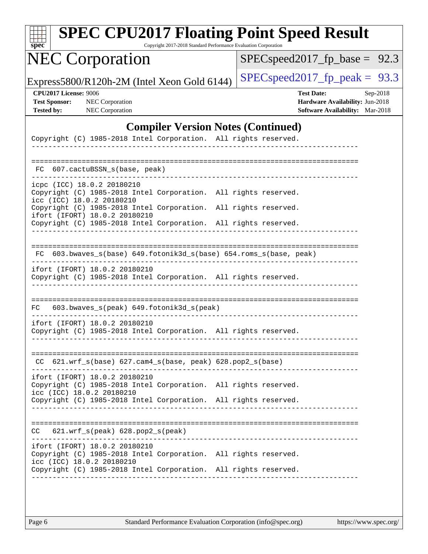| sne<br>Ľ<br>c |  |  |  |  |  |
|---------------|--|--|--|--|--|

Copyright 2017-2018 Standard Performance Evaluation Corporation

# NEC Corporation

[SPECspeed2017\\_fp\\_base =](http://www.spec.org/auto/cpu2017/Docs/result-fields.html#SPECspeed2017fpbase) 92.3

Express5800/R120h-2M (Intel Xeon Gold 6144) [SPECspeed2017\\_fp\\_peak =](http://www.spec.org/auto/cpu2017/Docs/result-fields.html#SPECspeed2017fppeak)  $93.3$ 

**[CPU2017 License:](http://www.spec.org/auto/cpu2017/Docs/result-fields.html#CPU2017License)** 9006 **[Test Date:](http://www.spec.org/auto/cpu2017/Docs/result-fields.html#TestDate)** Sep-2018 **[Test Sponsor:](http://www.spec.org/auto/cpu2017/Docs/result-fields.html#TestSponsor)** NEC Corporation **[Hardware Availability:](http://www.spec.org/auto/cpu2017/Docs/result-fields.html#HardwareAvailability)** Jun-2018 **[Tested by:](http://www.spec.org/auto/cpu2017/Docs/result-fields.html#Testedby)** NEC Corporation **[Software Availability:](http://www.spec.org/auto/cpu2017/Docs/result-fields.html#SoftwareAvailability)** Mar-2018

### **[Compiler Version Notes \(Continued\)](http://www.spec.org/auto/cpu2017/Docs/result-fields.html#CompilerVersionNotes)**

| Copyright (C) 1985-2018 Intel Corporation. All rights reserved.                                                                                |                      |
|------------------------------------------------------------------------------------------------------------------------------------------------|----------------------|
| 607.cactuBSSN s(base, peak)<br>FC.                                                                                                             |                      |
| icpc (ICC) 18.0.2 20180210<br>Copyright (C) 1985-2018 Intel Corporation.<br>icc (ICC) 18.0.2 20180210                                          | All rights reserved. |
| Copyright (C) 1985-2018 Intel Corporation.<br>ifort (IFORT) 18.0.2 20180210<br>Copyright (C) 1985-2018 Intel Corporation. All rights reserved. | All rights reserved. |
| FC 603.bwaves_s(base) 649.fotonik3d_s(base) 654.roms_s(base, peak)                                                                             |                      |
|                                                                                                                                                |                      |
| ifort (IFORT) 18.0.2 20180210<br>Copyright (C) 1985-2018 Intel Corporation. All rights reserved.                                               |                      |
|                                                                                                                                                |                      |
| 603.bwaves_s(peak) 649.fotonik3d_s(peak)<br>FC                                                                                                 |                      |
| ifort (IFORT) 18.0.2 20180210<br>Copyright (C) 1985-2018 Intel Corporation. All rights reserved.                                               |                      |
| $CC$ 621.wrf_s(base) 627.cam4_s(base, peak) 628.pop2_s(base)                                                                                   |                      |
| ifort (IFORT) 18.0.2 20180210<br>Copyright (C) 1985-2018 Intel Corporation. All rights reserved.<br>icc (ICC) 18.0.2 20180210                  |                      |
| Copyright (C) 1985-2018 Intel Corporation. All rights reserved.                                                                                |                      |
|                                                                                                                                                |                      |
| $621.wrf$ s(peak) $628.pop2$ s(peak)<br>CC                                                                                                     |                      |
| ifort (IFORT) 18.0.2 20180210<br>Copyright (C) 1985-2018 Intel Corporation.<br>icc (ICC) 18.0.2 20180210                                       | All rights reserved. |
| Copyright (C) 1985-2018 Intel Corporation.                                                                                                     | All rights reserved. |
|                                                                                                                                                |                      |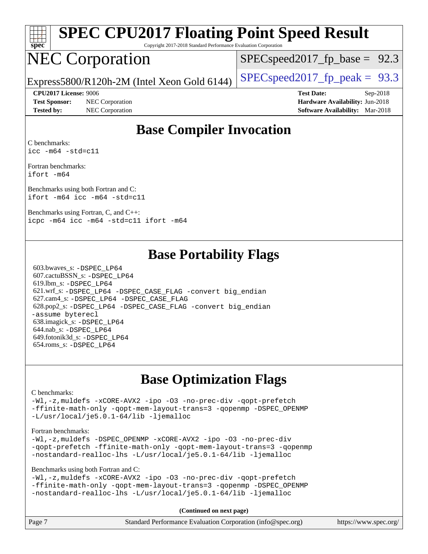

Copyright 2017-2018 Standard Performance Evaluation Corporation

# NEC Corporation

 $SPECspeed2017_fp\_base = 92.3$ 

Express5800/R120h-2M (Intel Xeon Gold 6144)  $\left|$  [SPECspeed2017\\_fp\\_peak =](http://www.spec.org/auto/cpu2017/Docs/result-fields.html#SPECspeed2017fppeak) 93.3

**[Test Sponsor:](http://www.spec.org/auto/cpu2017/Docs/result-fields.html#TestSponsor)** NEC Corporation **[Hardware Availability:](http://www.spec.org/auto/cpu2017/Docs/result-fields.html#HardwareAvailability)** Jun-2018

**[CPU2017 License:](http://www.spec.org/auto/cpu2017/Docs/result-fields.html#CPU2017License)** 9006 **[Test Date:](http://www.spec.org/auto/cpu2017/Docs/result-fields.html#TestDate)** Sep-2018 **[Tested by:](http://www.spec.org/auto/cpu2017/Docs/result-fields.html#Testedby)** NEC Corporation **[Software Availability:](http://www.spec.org/auto/cpu2017/Docs/result-fields.html#SoftwareAvailability)** Mar-2018

### **[Base Compiler Invocation](http://www.spec.org/auto/cpu2017/Docs/result-fields.html#BaseCompilerInvocation)**

[C benchmarks](http://www.spec.org/auto/cpu2017/Docs/result-fields.html#Cbenchmarks): [icc -m64 -std=c11](http://www.spec.org/cpu2017/results/res2018q4/cpu2017-20180917-08892.flags.html#user_CCbase_intel_icc_64bit_c11_33ee0cdaae7deeeab2a9725423ba97205ce30f63b9926c2519791662299b76a0318f32ddfffdc46587804de3178b4f9328c46fa7c2b0cd779d7a61945c91cd35)

[Fortran benchmarks](http://www.spec.org/auto/cpu2017/Docs/result-fields.html#Fortranbenchmarks): [ifort -m64](http://www.spec.org/cpu2017/results/res2018q4/cpu2017-20180917-08892.flags.html#user_FCbase_intel_ifort_64bit_24f2bb282fbaeffd6157abe4f878425411749daecae9a33200eee2bee2fe76f3b89351d69a8130dd5949958ce389cf37ff59a95e7a40d588e8d3a57e0c3fd751)

[Benchmarks using both Fortran and C](http://www.spec.org/auto/cpu2017/Docs/result-fields.html#BenchmarksusingbothFortranandC): [ifort -m64](http://www.spec.org/cpu2017/results/res2018q4/cpu2017-20180917-08892.flags.html#user_CC_FCbase_intel_ifort_64bit_24f2bb282fbaeffd6157abe4f878425411749daecae9a33200eee2bee2fe76f3b89351d69a8130dd5949958ce389cf37ff59a95e7a40d588e8d3a57e0c3fd751) [icc -m64 -std=c11](http://www.spec.org/cpu2017/results/res2018q4/cpu2017-20180917-08892.flags.html#user_CC_FCbase_intel_icc_64bit_c11_33ee0cdaae7deeeab2a9725423ba97205ce30f63b9926c2519791662299b76a0318f32ddfffdc46587804de3178b4f9328c46fa7c2b0cd779d7a61945c91cd35)

[Benchmarks using Fortran, C, and C++](http://www.spec.org/auto/cpu2017/Docs/result-fields.html#BenchmarksusingFortranCandCXX): [icpc -m64](http://www.spec.org/cpu2017/results/res2018q4/cpu2017-20180917-08892.flags.html#user_CC_CXX_FCbase_intel_icpc_64bit_4ecb2543ae3f1412ef961e0650ca070fec7b7afdcd6ed48761b84423119d1bf6bdf5cad15b44d48e7256388bc77273b966e5eb805aefd121eb22e9299b2ec9d9) [icc -m64 -std=c11](http://www.spec.org/cpu2017/results/res2018q4/cpu2017-20180917-08892.flags.html#user_CC_CXX_FCbase_intel_icc_64bit_c11_33ee0cdaae7deeeab2a9725423ba97205ce30f63b9926c2519791662299b76a0318f32ddfffdc46587804de3178b4f9328c46fa7c2b0cd779d7a61945c91cd35) [ifort -m64](http://www.spec.org/cpu2017/results/res2018q4/cpu2017-20180917-08892.flags.html#user_CC_CXX_FCbase_intel_ifort_64bit_24f2bb282fbaeffd6157abe4f878425411749daecae9a33200eee2bee2fe76f3b89351d69a8130dd5949958ce389cf37ff59a95e7a40d588e8d3a57e0c3fd751)

### **[Base Portability Flags](http://www.spec.org/auto/cpu2017/Docs/result-fields.html#BasePortabilityFlags)**

 603.bwaves\_s: [-DSPEC\\_LP64](http://www.spec.org/cpu2017/results/res2018q4/cpu2017-20180917-08892.flags.html#suite_basePORTABILITY603_bwaves_s_DSPEC_LP64) 607.cactuBSSN\_s: [-DSPEC\\_LP64](http://www.spec.org/cpu2017/results/res2018q4/cpu2017-20180917-08892.flags.html#suite_basePORTABILITY607_cactuBSSN_s_DSPEC_LP64) 619.lbm\_s: [-DSPEC\\_LP64](http://www.spec.org/cpu2017/results/res2018q4/cpu2017-20180917-08892.flags.html#suite_basePORTABILITY619_lbm_s_DSPEC_LP64) 621.wrf\_s: [-DSPEC\\_LP64](http://www.spec.org/cpu2017/results/res2018q4/cpu2017-20180917-08892.flags.html#suite_basePORTABILITY621_wrf_s_DSPEC_LP64) [-DSPEC\\_CASE\\_FLAG](http://www.spec.org/cpu2017/results/res2018q4/cpu2017-20180917-08892.flags.html#b621.wrf_s_baseCPORTABILITY_DSPEC_CASE_FLAG) [-convert big\\_endian](http://www.spec.org/cpu2017/results/res2018q4/cpu2017-20180917-08892.flags.html#user_baseFPORTABILITY621_wrf_s_convert_big_endian_c3194028bc08c63ac5d04de18c48ce6d347e4e562e8892b8bdbdc0214820426deb8554edfa529a3fb25a586e65a3d812c835984020483e7e73212c4d31a38223) 627.cam4\_s: [-DSPEC\\_LP64](http://www.spec.org/cpu2017/results/res2018q4/cpu2017-20180917-08892.flags.html#suite_basePORTABILITY627_cam4_s_DSPEC_LP64) [-DSPEC\\_CASE\\_FLAG](http://www.spec.org/cpu2017/results/res2018q4/cpu2017-20180917-08892.flags.html#b627.cam4_s_baseCPORTABILITY_DSPEC_CASE_FLAG) 628.pop2\_s: [-DSPEC\\_LP64](http://www.spec.org/cpu2017/results/res2018q4/cpu2017-20180917-08892.flags.html#suite_basePORTABILITY628_pop2_s_DSPEC_LP64) [-DSPEC\\_CASE\\_FLAG](http://www.spec.org/cpu2017/results/res2018q4/cpu2017-20180917-08892.flags.html#b628.pop2_s_baseCPORTABILITY_DSPEC_CASE_FLAG) [-convert big\\_endian](http://www.spec.org/cpu2017/results/res2018q4/cpu2017-20180917-08892.flags.html#user_baseFPORTABILITY628_pop2_s_convert_big_endian_c3194028bc08c63ac5d04de18c48ce6d347e4e562e8892b8bdbdc0214820426deb8554edfa529a3fb25a586e65a3d812c835984020483e7e73212c4d31a38223) [-assume byterecl](http://www.spec.org/cpu2017/results/res2018q4/cpu2017-20180917-08892.flags.html#user_baseFPORTABILITY628_pop2_s_assume_byterecl_7e47d18b9513cf18525430bbf0f2177aa9bf368bc7a059c09b2c06a34b53bd3447c950d3f8d6c70e3faf3a05c8557d66a5798b567902e8849adc142926523472) 638.imagick\_s: [-DSPEC\\_LP64](http://www.spec.org/cpu2017/results/res2018q4/cpu2017-20180917-08892.flags.html#suite_basePORTABILITY638_imagick_s_DSPEC_LP64) 644.nab\_s: [-DSPEC\\_LP64](http://www.spec.org/cpu2017/results/res2018q4/cpu2017-20180917-08892.flags.html#suite_basePORTABILITY644_nab_s_DSPEC_LP64) 649.fotonik3d\_s: [-DSPEC\\_LP64](http://www.spec.org/cpu2017/results/res2018q4/cpu2017-20180917-08892.flags.html#suite_basePORTABILITY649_fotonik3d_s_DSPEC_LP64) 654.roms\_s: [-DSPEC\\_LP64](http://www.spec.org/cpu2017/results/res2018q4/cpu2017-20180917-08892.flags.html#suite_basePORTABILITY654_roms_s_DSPEC_LP64)

### **[Base Optimization Flags](http://www.spec.org/auto/cpu2017/Docs/result-fields.html#BaseOptimizationFlags)**

#### [C benchmarks](http://www.spec.org/auto/cpu2017/Docs/result-fields.html#Cbenchmarks):

[-Wl,-z,muldefs](http://www.spec.org/cpu2017/results/res2018q4/cpu2017-20180917-08892.flags.html#user_CCbase_link_force_multiple1_b4cbdb97b34bdee9ceefcfe54f4c8ea74255f0b02a4b23e853cdb0e18eb4525ac79b5a88067c842dd0ee6996c24547a27a4b99331201badda8798ef8a743f577) [-xCORE-AVX2](http://www.spec.org/cpu2017/results/res2018q4/cpu2017-20180917-08892.flags.html#user_CCbase_f-xCORE-AVX2) [-ipo](http://www.spec.org/cpu2017/results/res2018q4/cpu2017-20180917-08892.flags.html#user_CCbase_f-ipo) [-O3](http://www.spec.org/cpu2017/results/res2018q4/cpu2017-20180917-08892.flags.html#user_CCbase_f-O3) [-no-prec-div](http://www.spec.org/cpu2017/results/res2018q4/cpu2017-20180917-08892.flags.html#user_CCbase_f-no-prec-div) [-qopt-prefetch](http://www.spec.org/cpu2017/results/res2018q4/cpu2017-20180917-08892.flags.html#user_CCbase_f-qopt-prefetch) [-ffinite-math-only](http://www.spec.org/cpu2017/results/res2018q4/cpu2017-20180917-08892.flags.html#user_CCbase_f_finite_math_only_cb91587bd2077682c4b38af759c288ed7c732db004271a9512da14a4f8007909a5f1427ecbf1a0fb78ff2a814402c6114ac565ca162485bbcae155b5e4258871) [-qopt-mem-layout-trans=3](http://www.spec.org/cpu2017/results/res2018q4/cpu2017-20180917-08892.flags.html#user_CCbase_f-qopt-mem-layout-trans_de80db37974c74b1f0e20d883f0b675c88c3b01e9d123adea9b28688d64333345fb62bc4a798493513fdb68f60282f9a726aa07f478b2f7113531aecce732043) [-qopenmp](http://www.spec.org/cpu2017/results/res2018q4/cpu2017-20180917-08892.flags.html#user_CCbase_qopenmp_16be0c44f24f464004c6784a7acb94aca937f053568ce72f94b139a11c7c168634a55f6653758ddd83bcf7b8463e8028bb0b48b77bcddc6b78d5d95bb1df2967) [-DSPEC\\_OPENMP](http://www.spec.org/cpu2017/results/res2018q4/cpu2017-20180917-08892.flags.html#suite_CCbase_DSPEC_OPENMP) [-L/usr/local/je5.0.1-64/lib](http://www.spec.org/cpu2017/results/res2018q4/cpu2017-20180917-08892.flags.html#user_CCbase_jemalloc_link_path64_4b10a636b7bce113509b17f3bd0d6226c5fb2346b9178c2d0232c14f04ab830f976640479e5c33dc2bcbbdad86ecfb6634cbbd4418746f06f368b512fced5394) [-ljemalloc](http://www.spec.org/cpu2017/results/res2018q4/cpu2017-20180917-08892.flags.html#user_CCbase_jemalloc_link_lib_d1249b907c500fa1c0672f44f562e3d0f79738ae9e3c4a9c376d49f265a04b9c99b167ecedbf6711b3085be911c67ff61f150a17b3472be731631ba4d0471706)

#### [Fortran benchmarks](http://www.spec.org/auto/cpu2017/Docs/result-fields.html#Fortranbenchmarks):

[-Wl,-z,muldefs](http://www.spec.org/cpu2017/results/res2018q4/cpu2017-20180917-08892.flags.html#user_FCbase_link_force_multiple1_b4cbdb97b34bdee9ceefcfe54f4c8ea74255f0b02a4b23e853cdb0e18eb4525ac79b5a88067c842dd0ee6996c24547a27a4b99331201badda8798ef8a743f577) [-DSPEC\\_OPENMP](http://www.spec.org/cpu2017/results/res2018q4/cpu2017-20180917-08892.flags.html#suite_FCbase_DSPEC_OPENMP) [-xCORE-AVX2](http://www.spec.org/cpu2017/results/res2018q4/cpu2017-20180917-08892.flags.html#user_FCbase_f-xCORE-AVX2) [-ipo](http://www.spec.org/cpu2017/results/res2018q4/cpu2017-20180917-08892.flags.html#user_FCbase_f-ipo) [-O3](http://www.spec.org/cpu2017/results/res2018q4/cpu2017-20180917-08892.flags.html#user_FCbase_f-O3) [-no-prec-div](http://www.spec.org/cpu2017/results/res2018q4/cpu2017-20180917-08892.flags.html#user_FCbase_f-no-prec-div) [-qopt-prefetch](http://www.spec.org/cpu2017/results/res2018q4/cpu2017-20180917-08892.flags.html#user_FCbase_f-qopt-prefetch) [-ffinite-math-only](http://www.spec.org/cpu2017/results/res2018q4/cpu2017-20180917-08892.flags.html#user_FCbase_f_finite_math_only_cb91587bd2077682c4b38af759c288ed7c732db004271a9512da14a4f8007909a5f1427ecbf1a0fb78ff2a814402c6114ac565ca162485bbcae155b5e4258871) [-qopt-mem-layout-trans=3](http://www.spec.org/cpu2017/results/res2018q4/cpu2017-20180917-08892.flags.html#user_FCbase_f-qopt-mem-layout-trans_de80db37974c74b1f0e20d883f0b675c88c3b01e9d123adea9b28688d64333345fb62bc4a798493513fdb68f60282f9a726aa07f478b2f7113531aecce732043) [-qopenmp](http://www.spec.org/cpu2017/results/res2018q4/cpu2017-20180917-08892.flags.html#user_FCbase_qopenmp_16be0c44f24f464004c6784a7acb94aca937f053568ce72f94b139a11c7c168634a55f6653758ddd83bcf7b8463e8028bb0b48b77bcddc6b78d5d95bb1df2967) [-nostandard-realloc-lhs](http://www.spec.org/cpu2017/results/res2018q4/cpu2017-20180917-08892.flags.html#user_FCbase_f_2003_std_realloc_82b4557e90729c0f113870c07e44d33d6f5a304b4f63d4c15d2d0f1fab99f5daaed73bdb9275d9ae411527f28b936061aa8b9c8f2d63842963b95c9dd6426b8a) [-L/usr/local/je5.0.1-64/lib](http://www.spec.org/cpu2017/results/res2018q4/cpu2017-20180917-08892.flags.html#user_FCbase_jemalloc_link_path64_4b10a636b7bce113509b17f3bd0d6226c5fb2346b9178c2d0232c14f04ab830f976640479e5c33dc2bcbbdad86ecfb6634cbbd4418746f06f368b512fced5394) [-ljemalloc](http://www.spec.org/cpu2017/results/res2018q4/cpu2017-20180917-08892.flags.html#user_FCbase_jemalloc_link_lib_d1249b907c500fa1c0672f44f562e3d0f79738ae9e3c4a9c376d49f265a04b9c99b167ecedbf6711b3085be911c67ff61f150a17b3472be731631ba4d0471706)

[Benchmarks using both Fortran and C](http://www.spec.org/auto/cpu2017/Docs/result-fields.html#BenchmarksusingbothFortranandC):

[-Wl,-z,muldefs](http://www.spec.org/cpu2017/results/res2018q4/cpu2017-20180917-08892.flags.html#user_CC_FCbase_link_force_multiple1_b4cbdb97b34bdee9ceefcfe54f4c8ea74255f0b02a4b23e853cdb0e18eb4525ac79b5a88067c842dd0ee6996c24547a27a4b99331201badda8798ef8a743f577) [-xCORE-AVX2](http://www.spec.org/cpu2017/results/res2018q4/cpu2017-20180917-08892.flags.html#user_CC_FCbase_f-xCORE-AVX2) [-ipo](http://www.spec.org/cpu2017/results/res2018q4/cpu2017-20180917-08892.flags.html#user_CC_FCbase_f-ipo) [-O3](http://www.spec.org/cpu2017/results/res2018q4/cpu2017-20180917-08892.flags.html#user_CC_FCbase_f-O3) [-no-prec-div](http://www.spec.org/cpu2017/results/res2018q4/cpu2017-20180917-08892.flags.html#user_CC_FCbase_f-no-prec-div) [-qopt-prefetch](http://www.spec.org/cpu2017/results/res2018q4/cpu2017-20180917-08892.flags.html#user_CC_FCbase_f-qopt-prefetch) [-ffinite-math-only](http://www.spec.org/cpu2017/results/res2018q4/cpu2017-20180917-08892.flags.html#user_CC_FCbase_f_finite_math_only_cb91587bd2077682c4b38af759c288ed7c732db004271a9512da14a4f8007909a5f1427ecbf1a0fb78ff2a814402c6114ac565ca162485bbcae155b5e4258871) [-qopt-mem-layout-trans=3](http://www.spec.org/cpu2017/results/res2018q4/cpu2017-20180917-08892.flags.html#user_CC_FCbase_f-qopt-mem-layout-trans_de80db37974c74b1f0e20d883f0b675c88c3b01e9d123adea9b28688d64333345fb62bc4a798493513fdb68f60282f9a726aa07f478b2f7113531aecce732043) [-qopenmp](http://www.spec.org/cpu2017/results/res2018q4/cpu2017-20180917-08892.flags.html#user_CC_FCbase_qopenmp_16be0c44f24f464004c6784a7acb94aca937f053568ce72f94b139a11c7c168634a55f6653758ddd83bcf7b8463e8028bb0b48b77bcddc6b78d5d95bb1df2967) [-DSPEC\\_OPENMP](http://www.spec.org/cpu2017/results/res2018q4/cpu2017-20180917-08892.flags.html#suite_CC_FCbase_DSPEC_OPENMP) [-nostandard-realloc-lhs](http://www.spec.org/cpu2017/results/res2018q4/cpu2017-20180917-08892.flags.html#user_CC_FCbase_f_2003_std_realloc_82b4557e90729c0f113870c07e44d33d6f5a304b4f63d4c15d2d0f1fab99f5daaed73bdb9275d9ae411527f28b936061aa8b9c8f2d63842963b95c9dd6426b8a) [-L/usr/local/je5.0.1-64/lib](http://www.spec.org/cpu2017/results/res2018q4/cpu2017-20180917-08892.flags.html#user_CC_FCbase_jemalloc_link_path64_4b10a636b7bce113509b17f3bd0d6226c5fb2346b9178c2d0232c14f04ab830f976640479e5c33dc2bcbbdad86ecfb6634cbbd4418746f06f368b512fced5394) [-ljemalloc](http://www.spec.org/cpu2017/results/res2018q4/cpu2017-20180917-08892.flags.html#user_CC_FCbase_jemalloc_link_lib_d1249b907c500fa1c0672f44f562e3d0f79738ae9e3c4a9c376d49f265a04b9c99b167ecedbf6711b3085be911c67ff61f150a17b3472be731631ba4d0471706)

**(Continued on next page)**

| Page 7 | Standard Performance Evaluation Corporation (info@spec.org) | https://www.spec.org/ |
|--------|-------------------------------------------------------------|-----------------------|
|        |                                                             |                       |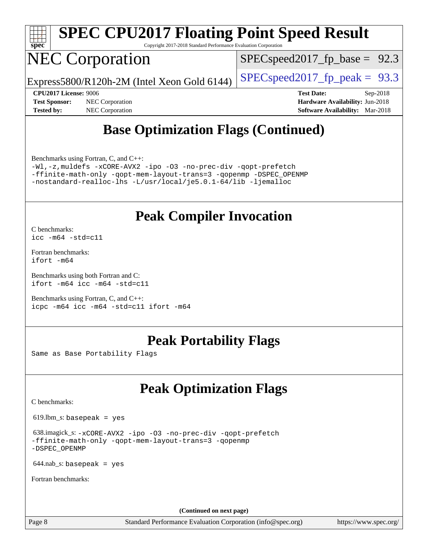

Copyright 2017-2018 Standard Performance Evaluation Corporation

# NEC Corporation

 $SPECspeed2017_fp\_base = 92.3$ 

Express5800/R120h-2M (Intel Xeon Gold 6144)  $\left|$  [SPECspeed2017\\_fp\\_peak =](http://www.spec.org/auto/cpu2017/Docs/result-fields.html#SPECspeed2017fppeak) 93.3

**[Tested by:](http://www.spec.org/auto/cpu2017/Docs/result-fields.html#Testedby)** NEC Corporation **[Software Availability:](http://www.spec.org/auto/cpu2017/Docs/result-fields.html#SoftwareAvailability)** Mar-2018

**[CPU2017 License:](http://www.spec.org/auto/cpu2017/Docs/result-fields.html#CPU2017License)** 9006 **[Test Date:](http://www.spec.org/auto/cpu2017/Docs/result-fields.html#TestDate)** Sep-2018 **[Test Sponsor:](http://www.spec.org/auto/cpu2017/Docs/result-fields.html#TestSponsor)** NEC Corporation **[Hardware Availability:](http://www.spec.org/auto/cpu2017/Docs/result-fields.html#HardwareAvailability)** Jun-2018

### **[Base Optimization Flags \(Continued\)](http://www.spec.org/auto/cpu2017/Docs/result-fields.html#BaseOptimizationFlags)**

[Benchmarks using Fortran, C, and C++:](http://www.spec.org/auto/cpu2017/Docs/result-fields.html#BenchmarksusingFortranCandCXX)

[-Wl,-z,muldefs](http://www.spec.org/cpu2017/results/res2018q4/cpu2017-20180917-08892.flags.html#user_CC_CXX_FCbase_link_force_multiple1_b4cbdb97b34bdee9ceefcfe54f4c8ea74255f0b02a4b23e853cdb0e18eb4525ac79b5a88067c842dd0ee6996c24547a27a4b99331201badda8798ef8a743f577) [-xCORE-AVX2](http://www.spec.org/cpu2017/results/res2018q4/cpu2017-20180917-08892.flags.html#user_CC_CXX_FCbase_f-xCORE-AVX2) [-ipo](http://www.spec.org/cpu2017/results/res2018q4/cpu2017-20180917-08892.flags.html#user_CC_CXX_FCbase_f-ipo) [-O3](http://www.spec.org/cpu2017/results/res2018q4/cpu2017-20180917-08892.flags.html#user_CC_CXX_FCbase_f-O3) [-no-prec-div](http://www.spec.org/cpu2017/results/res2018q4/cpu2017-20180917-08892.flags.html#user_CC_CXX_FCbase_f-no-prec-div) [-qopt-prefetch](http://www.spec.org/cpu2017/results/res2018q4/cpu2017-20180917-08892.flags.html#user_CC_CXX_FCbase_f-qopt-prefetch) [-ffinite-math-only](http://www.spec.org/cpu2017/results/res2018q4/cpu2017-20180917-08892.flags.html#user_CC_CXX_FCbase_f_finite_math_only_cb91587bd2077682c4b38af759c288ed7c732db004271a9512da14a4f8007909a5f1427ecbf1a0fb78ff2a814402c6114ac565ca162485bbcae155b5e4258871) [-qopt-mem-layout-trans=3](http://www.spec.org/cpu2017/results/res2018q4/cpu2017-20180917-08892.flags.html#user_CC_CXX_FCbase_f-qopt-mem-layout-trans_de80db37974c74b1f0e20d883f0b675c88c3b01e9d123adea9b28688d64333345fb62bc4a798493513fdb68f60282f9a726aa07f478b2f7113531aecce732043) [-qopenmp](http://www.spec.org/cpu2017/results/res2018q4/cpu2017-20180917-08892.flags.html#user_CC_CXX_FCbase_qopenmp_16be0c44f24f464004c6784a7acb94aca937f053568ce72f94b139a11c7c168634a55f6653758ddd83bcf7b8463e8028bb0b48b77bcddc6b78d5d95bb1df2967) [-DSPEC\\_OPENMP](http://www.spec.org/cpu2017/results/res2018q4/cpu2017-20180917-08892.flags.html#suite_CC_CXX_FCbase_DSPEC_OPENMP) [-nostandard-realloc-lhs](http://www.spec.org/cpu2017/results/res2018q4/cpu2017-20180917-08892.flags.html#user_CC_CXX_FCbase_f_2003_std_realloc_82b4557e90729c0f113870c07e44d33d6f5a304b4f63d4c15d2d0f1fab99f5daaed73bdb9275d9ae411527f28b936061aa8b9c8f2d63842963b95c9dd6426b8a) [-L/usr/local/je5.0.1-64/lib](http://www.spec.org/cpu2017/results/res2018q4/cpu2017-20180917-08892.flags.html#user_CC_CXX_FCbase_jemalloc_link_path64_4b10a636b7bce113509b17f3bd0d6226c5fb2346b9178c2d0232c14f04ab830f976640479e5c33dc2bcbbdad86ecfb6634cbbd4418746f06f368b512fced5394) [-ljemalloc](http://www.spec.org/cpu2017/results/res2018q4/cpu2017-20180917-08892.flags.html#user_CC_CXX_FCbase_jemalloc_link_lib_d1249b907c500fa1c0672f44f562e3d0f79738ae9e3c4a9c376d49f265a04b9c99b167ecedbf6711b3085be911c67ff61f150a17b3472be731631ba4d0471706)

### **[Peak Compiler Invocation](http://www.spec.org/auto/cpu2017/Docs/result-fields.html#PeakCompilerInvocation)**

[C benchmarks](http://www.spec.org/auto/cpu2017/Docs/result-fields.html#Cbenchmarks): [icc -m64 -std=c11](http://www.spec.org/cpu2017/results/res2018q4/cpu2017-20180917-08892.flags.html#user_CCpeak_intel_icc_64bit_c11_33ee0cdaae7deeeab2a9725423ba97205ce30f63b9926c2519791662299b76a0318f32ddfffdc46587804de3178b4f9328c46fa7c2b0cd779d7a61945c91cd35)

[Fortran benchmarks](http://www.spec.org/auto/cpu2017/Docs/result-fields.html#Fortranbenchmarks): [ifort -m64](http://www.spec.org/cpu2017/results/res2018q4/cpu2017-20180917-08892.flags.html#user_FCpeak_intel_ifort_64bit_24f2bb282fbaeffd6157abe4f878425411749daecae9a33200eee2bee2fe76f3b89351d69a8130dd5949958ce389cf37ff59a95e7a40d588e8d3a57e0c3fd751)

[Benchmarks using both Fortran and C](http://www.spec.org/auto/cpu2017/Docs/result-fields.html#BenchmarksusingbothFortranandC): [ifort -m64](http://www.spec.org/cpu2017/results/res2018q4/cpu2017-20180917-08892.flags.html#user_CC_FCpeak_intel_ifort_64bit_24f2bb282fbaeffd6157abe4f878425411749daecae9a33200eee2bee2fe76f3b89351d69a8130dd5949958ce389cf37ff59a95e7a40d588e8d3a57e0c3fd751) [icc -m64 -std=c11](http://www.spec.org/cpu2017/results/res2018q4/cpu2017-20180917-08892.flags.html#user_CC_FCpeak_intel_icc_64bit_c11_33ee0cdaae7deeeab2a9725423ba97205ce30f63b9926c2519791662299b76a0318f32ddfffdc46587804de3178b4f9328c46fa7c2b0cd779d7a61945c91cd35)

[Benchmarks using Fortran, C, and C++:](http://www.spec.org/auto/cpu2017/Docs/result-fields.html#BenchmarksusingFortranCandCXX) [icpc -m64](http://www.spec.org/cpu2017/results/res2018q4/cpu2017-20180917-08892.flags.html#user_CC_CXX_FCpeak_intel_icpc_64bit_4ecb2543ae3f1412ef961e0650ca070fec7b7afdcd6ed48761b84423119d1bf6bdf5cad15b44d48e7256388bc77273b966e5eb805aefd121eb22e9299b2ec9d9) [icc -m64 -std=c11](http://www.spec.org/cpu2017/results/res2018q4/cpu2017-20180917-08892.flags.html#user_CC_CXX_FCpeak_intel_icc_64bit_c11_33ee0cdaae7deeeab2a9725423ba97205ce30f63b9926c2519791662299b76a0318f32ddfffdc46587804de3178b4f9328c46fa7c2b0cd779d7a61945c91cd35) [ifort -m64](http://www.spec.org/cpu2017/results/res2018q4/cpu2017-20180917-08892.flags.html#user_CC_CXX_FCpeak_intel_ifort_64bit_24f2bb282fbaeffd6157abe4f878425411749daecae9a33200eee2bee2fe76f3b89351d69a8130dd5949958ce389cf37ff59a95e7a40d588e8d3a57e0c3fd751)

### **[Peak Portability Flags](http://www.spec.org/auto/cpu2017/Docs/result-fields.html#PeakPortabilityFlags)**

Same as Base Portability Flags

## **[Peak Optimization Flags](http://www.spec.org/auto/cpu2017/Docs/result-fields.html#PeakOptimizationFlags)**

[C benchmarks](http://www.spec.org/auto/cpu2017/Docs/result-fields.html#Cbenchmarks):

619.lbm\_s: basepeak = yes

 638.imagick\_s: [-xCORE-AVX2](http://www.spec.org/cpu2017/results/res2018q4/cpu2017-20180917-08892.flags.html#user_peakCOPTIMIZE638_imagick_s_f-xCORE-AVX2) [-ipo](http://www.spec.org/cpu2017/results/res2018q4/cpu2017-20180917-08892.flags.html#user_peakCOPTIMIZE638_imagick_s_f-ipo) [-O3](http://www.spec.org/cpu2017/results/res2018q4/cpu2017-20180917-08892.flags.html#user_peakCOPTIMIZE638_imagick_s_f-O3) [-no-prec-div](http://www.spec.org/cpu2017/results/res2018q4/cpu2017-20180917-08892.flags.html#user_peakCOPTIMIZE638_imagick_s_f-no-prec-div) [-qopt-prefetch](http://www.spec.org/cpu2017/results/res2018q4/cpu2017-20180917-08892.flags.html#user_peakCOPTIMIZE638_imagick_s_f-qopt-prefetch) [-ffinite-math-only](http://www.spec.org/cpu2017/results/res2018q4/cpu2017-20180917-08892.flags.html#user_peakCOPTIMIZE638_imagick_s_f_finite_math_only_cb91587bd2077682c4b38af759c288ed7c732db004271a9512da14a4f8007909a5f1427ecbf1a0fb78ff2a814402c6114ac565ca162485bbcae155b5e4258871) [-qopt-mem-layout-trans=3](http://www.spec.org/cpu2017/results/res2018q4/cpu2017-20180917-08892.flags.html#user_peakCOPTIMIZE638_imagick_s_f-qopt-mem-layout-trans_de80db37974c74b1f0e20d883f0b675c88c3b01e9d123adea9b28688d64333345fb62bc4a798493513fdb68f60282f9a726aa07f478b2f7113531aecce732043) [-qopenmp](http://www.spec.org/cpu2017/results/res2018q4/cpu2017-20180917-08892.flags.html#user_peakCOPTIMIZE638_imagick_s_qopenmp_16be0c44f24f464004c6784a7acb94aca937f053568ce72f94b139a11c7c168634a55f6653758ddd83bcf7b8463e8028bb0b48b77bcddc6b78d5d95bb1df2967) [-DSPEC\\_OPENMP](http://www.spec.org/cpu2017/results/res2018q4/cpu2017-20180917-08892.flags.html#suite_peakCOPTIMIZE638_imagick_s_DSPEC_OPENMP)

 $644$ .nab\_s: basepeak = yes

[Fortran benchmarks](http://www.spec.org/auto/cpu2017/Docs/result-fields.html#Fortranbenchmarks):

**(Continued on next page)**

Page 8 Standard Performance Evaluation Corporation [\(info@spec.org\)](mailto:info@spec.org) <https://www.spec.org/>